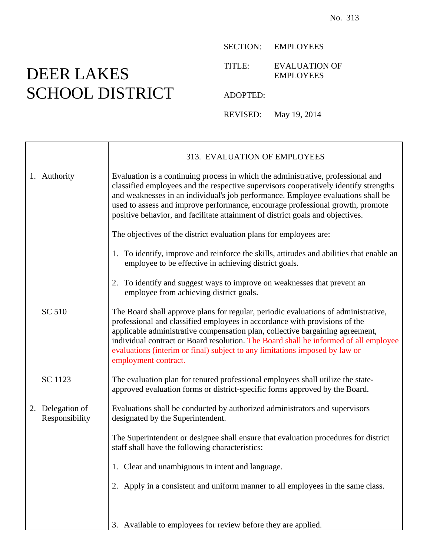## DEER LAKES SCHOOL DISTRICT

SECTION: EMPLOYEES

TITLE: EVALUATION OF EMPLOYEES

## ADOPTED:

REVISED: May 19, 2014

|                                    | 313. EVALUATION OF EMPLOYEES                                                                                                                                                                                                                                                                                                                                                                                                                     |
|------------------------------------|--------------------------------------------------------------------------------------------------------------------------------------------------------------------------------------------------------------------------------------------------------------------------------------------------------------------------------------------------------------------------------------------------------------------------------------------------|
| 1. Authority                       | Evaluation is a continuing process in which the administrative, professional and<br>classified employees and the respective supervisors cooperatively identify strengths<br>and weaknesses in an individual's job performance. Employee evaluations shall be<br>used to assess and improve performance, encourage professional growth, promote<br>positive behavior, and facilitate attainment of district goals and objectives.                 |
|                                    | The objectives of the district evaluation plans for employees are:                                                                                                                                                                                                                                                                                                                                                                               |
|                                    | 1. To identify, improve and reinforce the skills, attitudes and abilities that enable an<br>employee to be effective in achieving district goals.                                                                                                                                                                                                                                                                                                |
|                                    | 2. To identify and suggest ways to improve on weaknesses that prevent an<br>employee from achieving district goals.                                                                                                                                                                                                                                                                                                                              |
| SC 510                             | The Board shall approve plans for regular, periodic evaluations of administrative,<br>professional and classified employees in accordance with provisions of the<br>applicable administrative compensation plan, collective bargaining agreement,<br>individual contract or Board resolution. The Board shall be informed of all employee<br>evaluations (interim or final) subject to any limitations imposed by law or<br>employment contract. |
| SC 1123                            | The evaluation plan for tenured professional employees shall utilize the state-<br>approved evaluation forms or district-specific forms approved by the Board.                                                                                                                                                                                                                                                                                   |
| 2. Delegation of<br>Responsibility | Evaluations shall be conducted by authorized administrators and supervisors<br>designated by the Superintendent.                                                                                                                                                                                                                                                                                                                                 |
|                                    | The Superintendent or designee shall ensure that evaluation procedures for district<br>staff shall have the following characteristics:                                                                                                                                                                                                                                                                                                           |
|                                    | 1. Clear and unambiguous in intent and language.                                                                                                                                                                                                                                                                                                                                                                                                 |
|                                    | 2. Apply in a consistent and uniform manner to all employees in the same class.                                                                                                                                                                                                                                                                                                                                                                  |
|                                    | 3. Available to employees for review before they are applied.                                                                                                                                                                                                                                                                                                                                                                                    |